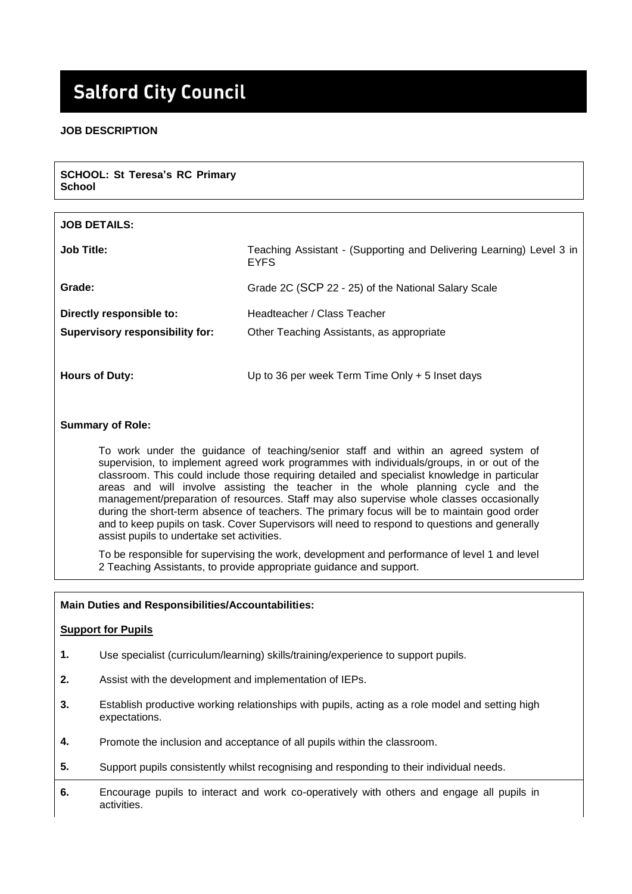# **Salford City Council**

# **JOB DESCRIPTION**

| <b>SCHOOL: St Teresa's RC Primary</b><br><b>School</b>             |                                                                                     |
|--------------------------------------------------------------------|-------------------------------------------------------------------------------------|
|                                                                    |                                                                                     |
| <b>JOB DETAILS:</b>                                                |                                                                                     |
| <b>Job Title:</b>                                                  | Teaching Assistant - (Supporting and Delivering Learning) Level 3 in<br><b>EYFS</b> |
| Grade:                                                             | Grade 2C (SCP 22 - 25) of the National Salary Scale                                 |
| Directly responsible to:<br><b>Supervisory responsibility for:</b> | Headteacher / Class Teacher<br>Other Teaching Assistants, as appropriate            |
| <b>Hours of Duty:</b>                                              | Up to 36 per week Term Time Only $+5$ Inset days                                    |

# **Summary of Role:**

To work under the guidance of teaching/senior staff and within an agreed system of supervision, to implement agreed work programmes with individuals/groups, in or out of the classroom. This could include those requiring detailed and specialist knowledge in particular areas and will involve assisting the teacher in the whole planning cycle and the management/preparation of resources. Staff may also supervise whole classes occasionally during the short-term absence of teachers. The primary focus will be to maintain good order and to keep pupils on task. Cover Supervisors will need to respond to questions and generally assist pupils to undertake set activities.

To be responsible for supervising the work, development and performance of level 1 and level 2 Teaching Assistants, to provide appropriate guidance and support.

#### **Main Duties and Responsibilities/Accountabilities:**

#### **Support for Pupils**

- **1.** Use specialist (curriculum/learning) skills/training/experience to support pupils.
- **2.** Assist with the development and implementation of IEPs.
- **3.** Establish productive working relationships with pupils, acting as a role model and setting high expectations.
- **4.** Promote the inclusion and acceptance of all pupils within the classroom.
- **5.** Support pupils consistently whilst recognising and responding to their individual needs.
- **6.** Encourage pupils to interact and work co-operatively with others and engage all pupils in activities.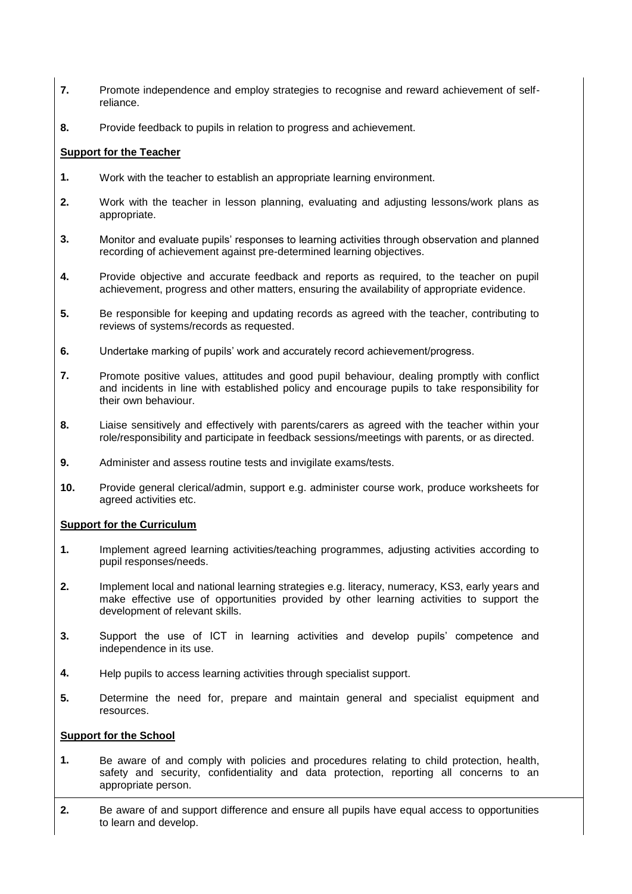- **7.** Promote independence and employ strategies to recognise and reward achievement of selfreliance.
- **8.** Provide feedback to pupils in relation to progress and achievement.

# **Support for the Teacher**

- **1.** Work with the teacher to establish an appropriate learning environment.
- **2.** Work with the teacher in lesson planning, evaluating and adjusting lessons/work plans as appropriate.
- **3.** Monitor and evaluate pupils' responses to learning activities through observation and planned recording of achievement against pre-determined learning objectives.
- **4.** Provide objective and accurate feedback and reports as required, to the teacher on pupil achievement, progress and other matters, ensuring the availability of appropriate evidence.
- **5.** Be responsible for keeping and updating records as agreed with the teacher, contributing to reviews of systems/records as requested.
- **6.** Undertake marking of pupils' work and accurately record achievement/progress.
- **7.** Promote positive values, attitudes and good pupil behaviour, dealing promptly with conflict and incidents in line with established policy and encourage pupils to take responsibility for their own behaviour.
- **8.** Liaise sensitively and effectively with parents/carers as agreed with the teacher within your role/responsibility and participate in feedback sessions/meetings with parents, or as directed.
- **9.** Administer and assess routine tests and invigilate exams/tests.
- **10.** Provide general clerical/admin, support e.g. administer course work, produce worksheets for agreed activities etc.

## **Support for the Curriculum**

- **1.** Implement agreed learning activities/teaching programmes, adjusting activities according to pupil responses/needs.
- **2.** Implement local and national learning strategies e.g. literacy, numeracy, KS3, early years and make effective use of opportunities provided by other learning activities to support the development of relevant skills.
- **3.** Support the use of ICT in learning activities and develop pupils' competence and independence in its use.
- **4.** Help pupils to access learning activities through specialist support.
- **5.** Determine the need for, prepare and maintain general and specialist equipment and resources.

## **Support for the School**

- **1.** Be aware of and comply with policies and procedures relating to child protection, health, safety and security, confidentiality and data protection, reporting all concerns to an appropriate person.
- **2.** Be aware of and support difference and ensure all pupils have equal access to opportunities to learn and develop.